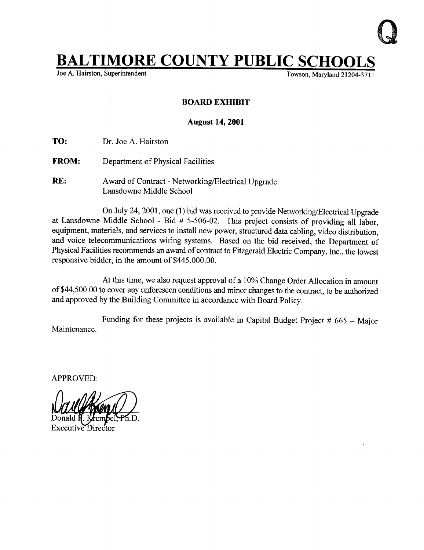

## **BALTIMORE COUNTY PUBLIC SCHOOLS**<br>Joe A. Hairston, Superintendent

Joe A. Hairston, Superintendent

## BOARD EXHIBIT

## August 14, 2001

TO: Dr. Joe A. Hairston

- FROM: Department of Physical Facilities
- RE: Award of Contract Networking/Electrical Upgrade Lansdowne Middle School

On July 24, 2001, one (1) bid was received to provide Networking/Electrical Upgrade at Lansdowne Middle School - Bid  $# 5-506-02$ . This project consists of providing all labor, equipment, materials, and services to install new power, structured data cabling, video distribution, and voice telecommunications wiring systems. Based on the bid received, the Department of Physical Facilities recommends an award of contract to Fitzgerald Electric Company, Inc., the lowest responsive bidder, in the amount of \$445,000.00.

At this time, we also request approval of <sup>a</sup> 10% Change Order Allocation in amount of \$44,500 .00 to cover any unforeseen conditions and minor changes to the contract, to be authorized and approved by the Building Committee in accordance with Board Policy.

Maintenance. Funding for these projects is available in Capital Budget Project  $#665 - \text{Major}$ 

APPROVED: